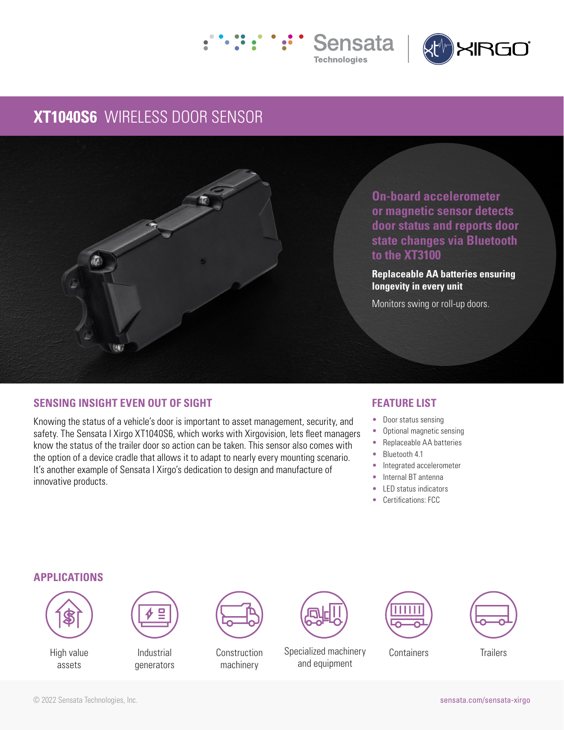



## **XT1040S6** WIRELESS DOOR SENSOR



**On-board accelerometer or magnetic sensor detects door status and reports door state changes via Bluetooth to the XT3100** 

**Replaceable AA batteries ensuring longevity in every unit** 

Monitors swing or roll-up doors.

## **SENSING INSIGHT EVEN OUT OF SIGHT**

Knowing the status of a vehicle's door is important to asset management, security, and safety. The Sensata I Xirgo XT1040S6, which works with Xirgovision, lets fleet managers know the status of the trailer door so action can be taken. This sensor also comes with the option of a device cradle that allows it to adapt to nearly every mounting scenario. It's another example of Sensata I Xirgo's dedication to design and manufacture of innovative products.

### **FEATURE LIST**

- Door status sensing
- Optional magnetic sensing
- Replaceable AA batteries
- Bluetooth 4.1
- Integrated accelerometer
- Internal BT antenna
- LED status indicators
- Certifications: FCC

### **APPLICATIONS**



High value assets



Industrial generators



machinery



Construction Specialized machinery Containers Trailers and equipment